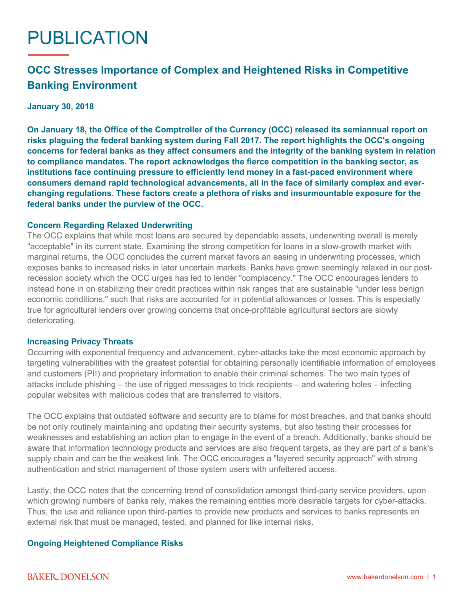# PUBLICATION

## **OCC Stresses Importance of Complex and Heightened Risks in Competitive Banking Environment**

#### **January 30, 2018**

**On January 18, the Office of the Comptroller of the Currency (OCC) released its [semiannual report](https://www.occ.gov/publications/publications-by-type/other-publications-reports/semiannual-risk-perspective/semiannual-risk-perspective-fall-2017.pdf) on risks plaguing the federal banking system during Fall 2017. The report highlights the OCC's ongoing concerns for federal banks as they affect consumers and the integrity of the banking system in relation to compliance mandates. The report acknowledges the fierce competition in the banking sector, as institutions face continuing pressure to efficiently lend money in a fast-paced environment where consumers demand rapid technological advancements, all in the face of similarly complex and everchanging regulations. These factors create a plethora of risks and insurmountable exposure for the federal banks under the purview of the OCC.**

#### **Concern Regarding Relaxed Underwriting**

The OCC explains that while most loans are secured by dependable assets, underwriting overall is merely "acceptable" in its current state. Examining the strong competition for loans in a slow-growth market with marginal returns, the OCC concludes the current market favors an easing in underwriting processes, which exposes banks to increased risks in later uncertain markets. Banks have grown seemingly relaxed in our postrecession society which the OCC urges has led to lender "complacency." The OCC encourages lenders to instead hone in on stabilizing their credit practices within risk ranges that are sustainable "under less benign economic conditions," such that risks are accounted for in potential allowances or losses. This is especially true for agricultural lenders over growing concerns that once-profitable agricultural sectors are slowly deteriorating.

#### **Increasing Privacy Threats**

Occurring with exponential frequency and advancement, cyber-attacks take the most economic approach by targeting vulnerabilities with the greatest potential for obtaining personally identifiable information of employees and customers (PII) and proprietary information to enable their criminal schemes. The two main types of attacks include phishing – the use of rigged messages to trick recipients – and watering holes – infecting popular websites with malicious codes that are transferred to visitors.

The OCC explains that outdated software and security are to blame for most breaches, and that banks should be not only routinely maintaining and updating their security systems, but also testing their processes for weaknesses and establishing an action plan to engage in the event of a breach. Additionally, banks should be aware that information technology products and services are also frequent targets, as they are part of a bank's supply chain and can be the weakest link. The OCC encourages a "layered security approach" with strong authentication and strict management of those system users with unfettered access.

Lastly, the OCC notes that the concerning trend of consolidation amongst third-party service providers, upon which growing numbers of banks rely, makes the remaining entities more desirable targets for cyber-attacks. Thus, the use and reliance upon third-parties to provide new products and services to banks represents an external risk that must be managed, tested, and planned for like internal risks.

### **Ongoing Heightened Compliance Risks**